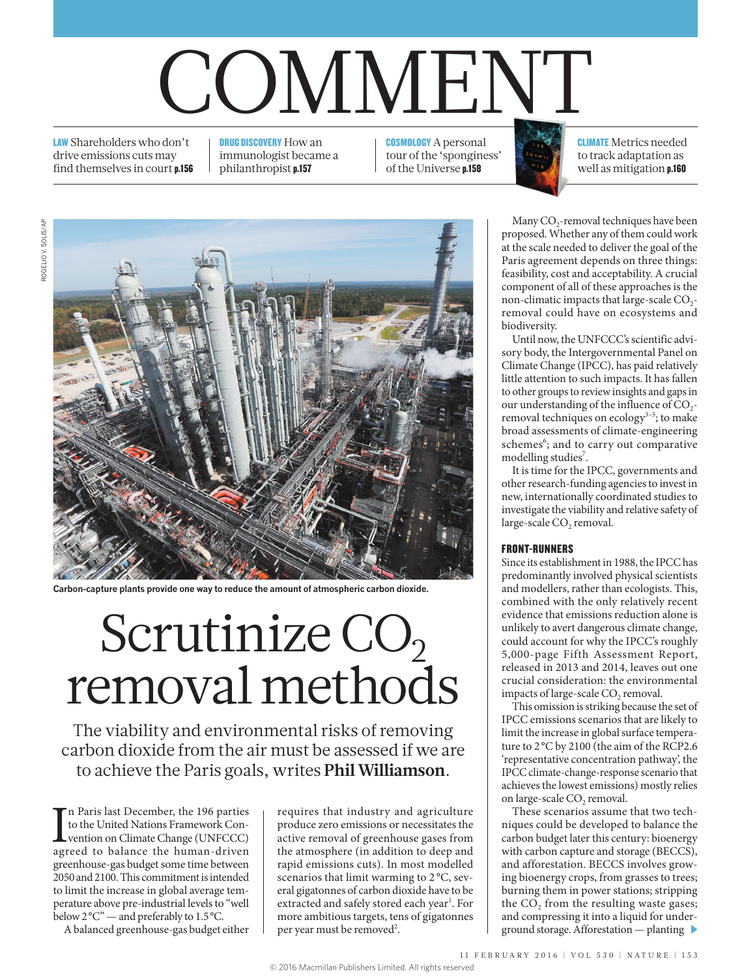# COMMENT

LAW Shareholders who don't drive emissions cuts may find themselves in court p.156 DRUG DISCOVERY How an immunologist became a philanthropist p.157

COSMOLOGY A personal tour of the 'sponginess' of the Universe p.158

CLIMATE Metrics needed to track adaptation as well as mitigation p.160

**Carbon-capture plants provide one way to reduce the amount of atmospheric carbon dioxide.**

# Scrutinize CO<sub>2</sub> removal methods

The viability and environmental risks of removing carbon dioxide from the air must be assessed if we are to achieve the Paris goals, writes **Phil Williamson**.

In Paris last December, the 196 parties<br>to the United Nations Framework Convention on Climate Change (UNFCCC)<br>agreed to balance the human-driven n Paris last December, the 196 parties to the United Nations Framework Convention on Climate Change (UNFCCC) greenhouse-gas budget some time between 2050 and 2100. This commitment is intended to limit the increase in global average temperature above pre-industrial levels to "well below 2°C" — and preferably to 1.5°C.

A balanced greenhouse-gas budget either

requires that industry and agriculture produce zero emissions or necessitates the active removal of greenhouse gases from the atmosphere (in addition to deep and rapid emissions cuts). In most modelled scenarios that limit warming to 2°C, several gigatonnes of carbon dioxide have to be extracted and safely stored each year<sup>1</sup>. For more ambitious targets, tens of gigatonnes per year must be removed<sup>2</sup>.

Many CO<sub>2</sub>-removal techniques have been proposed. Whether any of them could work at the scale needed to deliver the goal of the Paris agreement depends on three things: feasibility, cost and acceptability. A crucial component of all of these approaches is the non-climatic impacts that large-scale CO<sub>2</sub>removal could have on ecosystems and biodiversity.

Until now, the UNFCCC's scientific advisory body, the Intergovernmental Panel on Climate Change (IPCC), has paid relatively little attention to such impacts. It has fallen to other groups to review insights and gaps in our understanding of the influence of CO<sub>2</sub>removal techniques on ecology $3-5$ ; to make broad assessments of climate-engineering schemes<sup>6</sup>; and to carry out comparative modelling studies<sup>7</sup>.

It is time for the IPCC, governments and other research-funding agencies to invest in new, internationally coordinated studies to investigate the viability and relative safety of large-scale CO<sub>2</sub> removal.

# FRONT-RUNNERS

Since its establishment in 1988, the IPCC has predominantly involved physical scientists and modellers, rather than ecologists. This, combined with the only relatively recent evidence that emissions reduction alone is unlikely to avert dangerous climate change, could account for why the IPCC's roughly 5,000-page Fifth Assessment Report, released in 2013 and 2014, leaves out one crucial consideration: the environmental impacts of large-scale CO<sub>2</sub> removal.

This omission is striking because the set of IPCC emissions scenarios that are likely to limit the increase in global surface temperature to 2°C by 2100 (the aim of the RCP2.6 'representative concentration pathway', the IPCC climate-change-response scenario that achieves the lowest emissions) mostly relies on large-scale CO<sub>2</sub> removal.

These scenarios assume that two techniques could be developed to balance the carbon budget later this century: bioenergy with carbon capture and storage (BECCS), and afforestation. BECCS involves growing bioenergy crops, from grasses to trees; burning them in power stations; stripping the  $CO<sub>2</sub>$  from the resulting waste gases; and compressing it into a liquid for underground storage. Afforestation — planting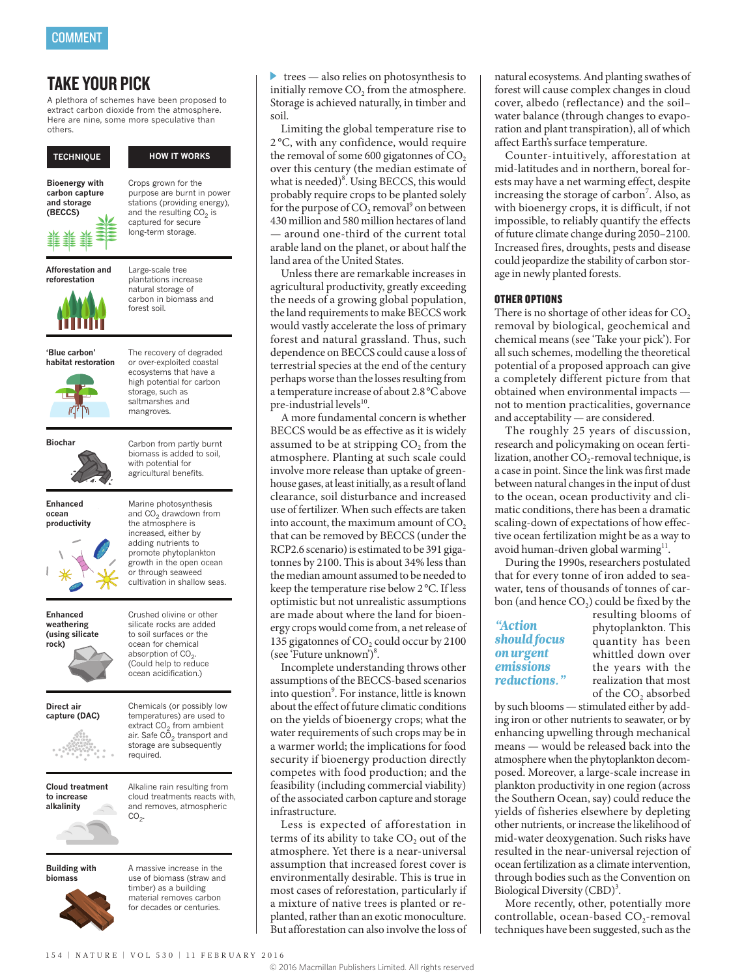# TAKE YOUR PICK

A plethora of schemes have been proposed to extract carbon dioxide from the atmosphere. Here are nine, some more speculative than others.

# **TECHNIQUE HOW IT WORKS**

**Bioenergy with carbon capture and storage (BECCS)**

Crops grown for the purpose are burnt in power stations (providing energy), and the resulting  $CO<sub>2</sub>$  is captured for secure long-term storage.



Large-scale tree plantations increase natural storage of carbon in biomass and forest soil.



**'Blue carbon' habitat restoration**



The recovery of degraded or over-exploited coastal ecosystems that have a high potential for carbon storage, such as saltmarshes and mangroves.

biomass is added to soil, with potential for agricultural benefits.

Marine photosynthesis and  $CO<sub>2</sub>$  drawdown from the atmosphere is increased, either by adding nutrients to promote phytoplankton growth in the open ocean or through seaweed cultivation in shallow seas.



**Enhanced ocean productivity**



**Enhanced weathering (using silicate rock)**

Crushed olivine or other silicate rocks are added to soil surfaces or the ocean for chemical absorption of  $CO<sub>2</sub>$ . (Could help to reduce

**Direct air capture (DAC)**



temperatures) are used to extract CO<sub>2</sub> from ambient<br>air. Safe CO<sub>2</sub> transport and storage are subsequently required.

ocean acidification.)

Chemicals (or possibly low



Alkaline rain resulting from cloud treatments reacts with, and removes, atmospheric  $CO<sub>2</sub>$ 

**Building with biomass**



A massive increase in the use of biomass (straw and timber) as a building material removes carbon for decades or centuries.

trees — also relies on photosynthesis to initially remove  $CO<sub>2</sub>$  from the atmosphere. Storage is achieved naturally, in timber and soil.

Limiting the global temperature rise to 2 °C, with any confidence, would require the removal of some 600 gigatonnes of CO<sub>2</sub> over this century (the median estimate of what is needed)<sup>8</sup>. Using BECCS, this would probably require crops to be planted solely for the purpose of  $CO_2$  removal<sup>9</sup> on between 430 million and 580 million hectares of land around one-third of the current total arable land on the planet, or about half the land area of the United States.

Unless there are remarkable increases in agricultural productivity, greatly exceeding the needs of a growing global population, the land requirements to make BECCS work would vastly accelerate the loss of primary forest and natural grassland. Thus, such dependence on BECCS could cause a loss of terrestrial species at the end of the century perhaps worse than the losses resulting from a temperature increase of about 2.8°C above pre-industrial levels $^{10}$ .

A more fundamental concern is whether BECCS would be as effective as it is widely assumed to be at stripping  $CO<sub>2</sub>$  from the atmosphere. Planting at such scale could involve more release than uptake of greenhouse gases, at least initially, as a result of land clearance, soil disturbance and increased use of fertilizer. When such effects are taken into account, the maximum amount of  $CO<sub>2</sub>$ that can be removed by BECCS (under the RCP2.6 scenario) is estimated to be 391 gigatonnes by 2100. This is about 34% less than the median amount assumed to be needed to keep the temperature rise below 2°C. If less optimistic but not unrealistic assumptions are made about where the land for bioenergy crops would come from, a net release of 135 gigatonnes of  $CO<sub>2</sub>$  could occur by 2100 (see 'Future unknown')<sup>8</sup>.

Incomplete understanding throws other assumptions of the BECCS-based scenarios into question<sup>9</sup>. For instance, little is known about the effect of future climatic conditions on the yields of bioenergy crops; what the water requirements of such crops may be in a warmer world; the implications for food security if bioenergy production directly competes with food production; and the feasibility (including commercial viability) of the associated carbon capture and storage infrastructure.

Less is expected of afforestation in terms of its ability to take  $CO<sub>2</sub>$  out of the atmosphere. Yet there is a near-universal assumption that increased forest cover is environmentally desirable. This is true in most cases of reforestation, particularly if a mixture of native trees is planted or replanted, rather than an exotic monoculture. But afforestation can also involve the loss of

natural ecosystems. And planting swathes of forest will cause complex changes in cloud cover, albedo (reflectance) and the soil– water balance (through changes to evaporation and plant transpiration), all of which affect Earth's surface temperature.

Counter-intuitively, afforestation at mid-latitudes and in northern, boreal forests may have a net warming effect, despite increasing the storage of carbon<sup>7</sup>. Also, as with bioenergy crops, it is difficult, if not impossible, to reliably quantify the effects of future climate change during 2050–2100. Increased fires, droughts, pests and disease could jeopardize the stability of carbon storage in newly planted forests.

## OTHER OPTIONS

There is no shortage of other ideas for CO<sub>2</sub> removal by biological, geochemical and chemical means (see 'Take your pick'). For all such schemes, modelling the theoretical potential of a proposed approach can give a completely different picture from that obtained when environmental impacts not to mention practicalities, governance and acceptability — are considered.

The roughly 25 years of discussion, research and policymaking on ocean fertilization, another CO<sub>2</sub>-removal technique, is a case in point. Since the link was first made between natural changes in the input of dust to the ocean, ocean productivity and climatic conditions, there has been a dramatic scaling-down of expectations of how effective ocean fertilization might be as a way to avoid human-driven global warming $11$ .

During the 1990s, researchers postulated that for every tonne of iron added to seawater, tens of thousands of tonnes of carbon (and hence  $CO<sub>2</sub>$ ) could be fixed by the

# *"Action should focus on urgent emissions reductions."*

resulting blooms of phytoplankton. This quantity has been whittled down over the years with the realization that most of the CO<sub>2</sub> absorbed

by such blooms — stimulated either by adding iron or other nutrients to seawater, or by enhancing upwelling through mechanical means — would be released back into the atmosphere when the phytoplankton decomposed. Moreover, a large-scale increase in plankton productivity in one region (across the Southern Ocean, say) could reduce the yields of fisheries elsewhere by depleting other nutrients, or increase the likelihood of mid-water deoxygenation. Such risks have resulted in the near-universal rejection of ocean fertilization as a climate intervention, through bodies such as the Convention on Biological Diversity (CBD)<sup>3</sup>.

More recently, other, potentially more controllable, ocean-based  $CO_2$ -removal techniques have been suggested, such as the